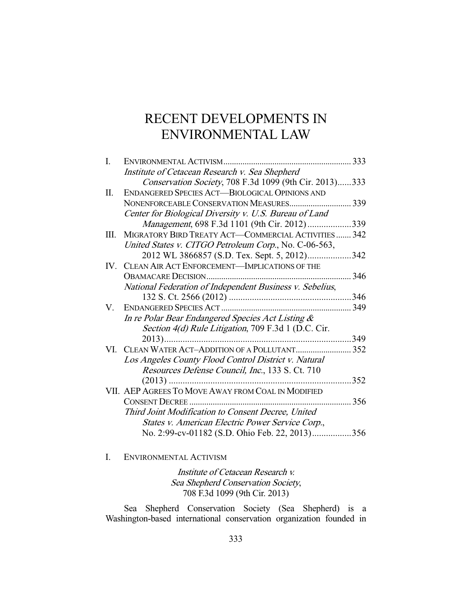# RECENT DEVELOPMENTS IN ENVIRONMENTAL LAW

| I. | ENVIRONMENTAL ACTIVISM                                   |      |
|----|----------------------------------------------------------|------|
|    | Institute of Cetacean Research v. Sea Shepherd           |      |
|    | Conservation Society, 708 F.3d 1099 (9th Cir. 2013)333   |      |
| П. | <b>ENDANGERED SPECIES ACT-BIOLOGICAL OPINIONS AND</b>    |      |
|    | NONENFORCEABLE CONSERVATION MEASURES                     | 339  |
|    | Center for Biological Diversity v. U.S. Bureau of Land   |      |
|    | Management, 698 F.3d 1101 (9th Cir. 2012)                | .339 |
| Ш. | MIGRATORY BIRD TREATY ACT-COMMERCIAL ACTIVITIES  342     |      |
|    | United States v. CITGO Petroleum Corp., No. C-06-563,    |      |
|    | 2012 WL 3866857 (S.D. Tex. Sept. 5, 2012)342             |      |
|    | IV. CLEAN AIR ACT ENFORCEMENT-IMPLICATIONS OF THE        |      |
|    |                                                          | 346  |
|    | National Federation of Independent Business v. Sebelius, |      |
|    |                                                          | 346  |
| V. |                                                          | 349  |
|    | In re Polar Bear Endangered Species Act Listing &        |      |
|    | Section 4(d) Rule Litigation, 709 F.3d 1 (D.C. Cir.      |      |
|    |                                                          | 349  |
| VI |                                                          | 352  |
|    | Los Angeles County Flood Control District v. Natural     |      |
|    | Resources Defense Council, Inc., 133 S. Ct. 710          |      |
|    |                                                          | 352  |
|    | VII. AEP AGREES TO MOVE AWAY FROM COAL IN MODIFIED       |      |
|    | <b>CONSENT DECREE</b>                                    | 356  |
|    | Third Joint Modification to Consent Decree, United       |      |
|    | States v. American Electric Power Service Corp.,         |      |
|    | No. 2:99-cv-01182 (S.D. Ohio Feb. 22, 2013)356           |      |

I. ENVIRONMENTAL ACTIVISM

Institute of Cetacean Research v. Sea Shepherd Conservation Society, 708 F.3d 1099 (9th Cir. 2013)

 Sea Shepherd Conservation Society (Sea Shepherd) is a Washington-based international conservation organization founded in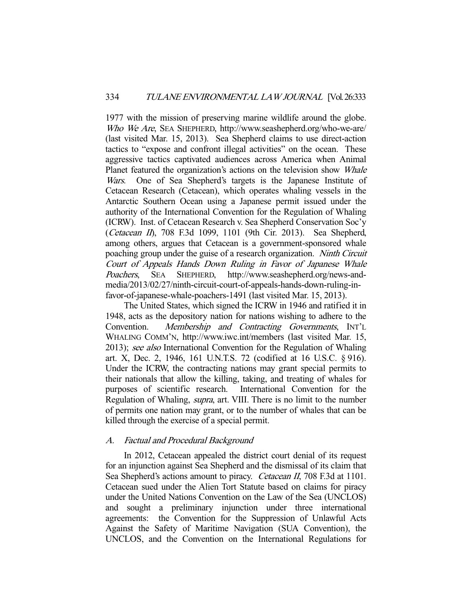1977 with the mission of preserving marine wildlife around the globe. Who We Are, SEA SHEPHERD, http://www.seashepherd.org/who-we-are/ (last visited Mar. 15, 2013). Sea Shepherd claims to use direct-action tactics to "expose and confront illegal activities" on the ocean. These aggressive tactics captivated audiences across America when Animal Planet featured the organization's actions on the television show Whale Wars. One of Sea Shepherd's targets is the Japanese Institute of Cetacean Research (Cetacean), which operates whaling vessels in the Antarctic Southern Ocean using a Japanese permit issued under the authority of the International Convention for the Regulation of Whaling (ICRW). Inst. of Cetacean Research v. Sea Shepherd Conservation Soc'y (Cetacean II), 708 F.3d 1099, 1101 (9th Cir. 2013). Sea Shepherd, among others, argues that Cetacean is a government-sponsored whale poaching group under the guise of a research organization. Ninth Circuit Court of Appeals Hands Down Ruling in Favor of Japanese Whale Poachers, SEA SHEPHERD, http://www.seashepherd.org/news-andmedia/2013/02/27/ninth-circuit-court-of-appeals-hands-down-ruling-infavor-of-japanese-whale-poachers-1491 (last visited Mar. 15, 2013).

 The United States, which signed the ICRW in 1946 and ratified it in 1948, acts as the depository nation for nations wishing to adhere to the Convention. Membership and Contracting Governments, INT'L WHALING COMM'N, http://www.iwc.int/members (last visited Mar. 15, 2013); see also International Convention for the Regulation of Whaling art. X, Dec. 2, 1946, 161 U.N.T.S. 72 (codified at 16 U.S.C. § 916). Under the ICRW, the contracting nations may grant special permits to their nationals that allow the killing, taking, and treating of whales for purposes of scientific research. International Convention for the Regulation of Whaling, supra, art. VIII. There is no limit to the number of permits one nation may grant, or to the number of whales that can be killed through the exercise of a special permit.

## A. Factual and Procedural Background

 In 2012, Cetacean appealed the district court denial of its request for an injunction against Sea Shepherd and the dismissal of its claim that Sea Shepherd's actions amount to piracy. *Cetacean II*, 708 F.3d at 1101. Cetacean sued under the Alien Tort Statute based on claims for piracy under the United Nations Convention on the Law of the Sea (UNCLOS) and sought a preliminary injunction under three international agreements: the Convention for the Suppression of Unlawful Acts Against the Safety of Maritime Navigation (SUA Convention), the UNCLOS, and the Convention on the International Regulations for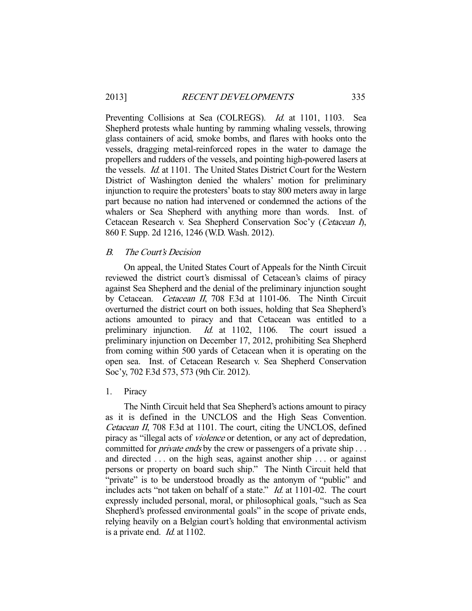Preventing Collisions at Sea (COLREGS). *Id.* at 1101, 1103. Sea Shepherd protests whale hunting by ramming whaling vessels, throwing glass containers of acid, smoke bombs, and flares with hooks onto the vessels, dragging metal-reinforced ropes in the water to damage the propellers and rudders of the vessels, and pointing high-powered lasers at the vessels. Id. at 1101. The United States District Court for the Western District of Washington denied the whalers' motion for preliminary injunction to require the protesters' boats to stay 800 meters away in large part because no nation had intervened or condemned the actions of the whalers or Sea Shepherd with anything more than words. Inst. of Cetacean Research v. Sea Shepherd Conservation Soc'y (Cetacean I), 860 F. Supp. 2d 1216, 1246 (W.D. Wash. 2012).

# B. The Court's Decision

 On appeal, the United States Court of Appeals for the Ninth Circuit reviewed the district court's dismissal of Cetacean's claims of piracy against Sea Shepherd and the denial of the preliminary injunction sought by Cetacean. *Cetacean II*, 708 F.3d at 1101-06. The Ninth Circuit overturned the district court on both issues, holding that Sea Shepherd's actions amounted to piracy and that Cetacean was entitled to a preliminary injunction. *Id.* at 1102, 1106. The court issued a preliminary injunction. *Id.* at 1102, 1106. The court issued a preliminary injunction on December 17, 2012, prohibiting Sea Shepherd from coming within 500 yards of Cetacean when it is operating on the open sea. Inst. of Cetacean Research v. Sea Shepherd Conservation Soc'y, 702 F.3d 573, 573 (9th Cir. 2012).

## 1. Piracy

 The Ninth Circuit held that Sea Shepherd's actions amount to piracy as it is defined in the UNCLOS and the High Seas Convention. Cetacean II, 708 F.3d at 1101. The court, citing the UNCLOS, defined piracy as "illegal acts of violence or detention, or any act of depredation, committed for *private ends* by the crew or passengers of a private ship ... and directed . . . on the high seas, against another ship . . . or against persons or property on board such ship." The Ninth Circuit held that "private" is to be understood broadly as the antonym of "public" and includes acts "not taken on behalf of a state." Id. at 1101-02. The court expressly included personal, moral, or philosophical goals, "such as Sea Shepherd's professed environmental goals" in the scope of private ends, relying heavily on a Belgian court's holding that environmental activism is a private end. Id. at 1102.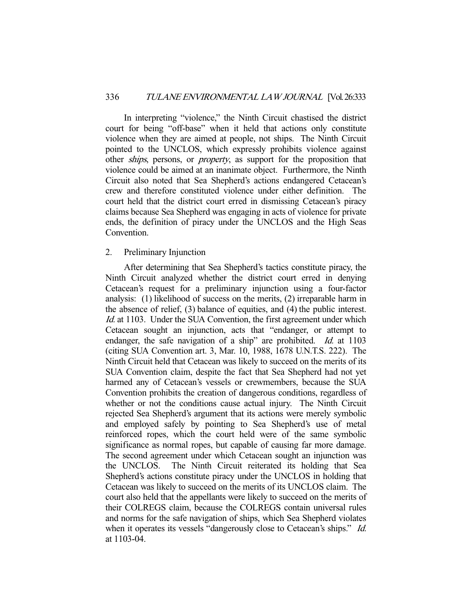In interpreting "violence," the Ninth Circuit chastised the district court for being "off-base" when it held that actions only constitute violence when they are aimed at people, not ships. The Ninth Circuit pointed to the UNCLOS, which expressly prohibits violence against other *ships*, persons, or *property*, as support for the proposition that violence could be aimed at an inanimate object. Furthermore, the Ninth Circuit also noted that Sea Shepherd's actions endangered Cetacean's crew and therefore constituted violence under either definition. The court held that the district court erred in dismissing Cetacean's piracy claims because Sea Shepherd was engaging in acts of violence for private ends, the definition of piracy under the UNCLOS and the High Seas Convention.

#### 2. Preliminary Injunction

 After determining that Sea Shepherd's tactics constitute piracy, the Ninth Circuit analyzed whether the district court erred in denying Cetacean's request for a preliminary injunction using a four-factor analysis: (1) likelihood of success on the merits, (2) irreparable harm in the absence of relief, (3) balance of equities, and (4) the public interest. Id. at 1103. Under the SUA Convention, the first agreement under which Cetacean sought an injunction, acts that "endanger, or attempt to endanger, the safe navigation of a ship" are prohibited. *Id.* at 1103 (citing SUA Convention art. 3, Mar. 10, 1988, 1678 U.N.T.S. 222). The Ninth Circuit held that Cetacean was likely to succeed on the merits of its SUA Convention claim, despite the fact that Sea Shepherd had not yet harmed any of Cetacean's vessels or crewmembers, because the SUA Convention prohibits the creation of dangerous conditions, regardless of whether or not the conditions cause actual injury. The Ninth Circuit rejected Sea Shepherd's argument that its actions were merely symbolic and employed safely by pointing to Sea Shepherd's use of metal reinforced ropes, which the court held were of the same symbolic significance as normal ropes, but capable of causing far more damage. The second agreement under which Cetacean sought an injunction was the UNCLOS. The Ninth Circuit reiterated its holding that Sea Shepherd's actions constitute piracy under the UNCLOS in holding that Cetacean was likely to succeed on the merits of its UNCLOS claim. The court also held that the appellants were likely to succeed on the merits of their COLREGS claim, because the COLREGS contain universal rules and norms for the safe navigation of ships, which Sea Shepherd violates when it operates its vessels "dangerously close to Cetacean's ships." *Id.* at 1103-04.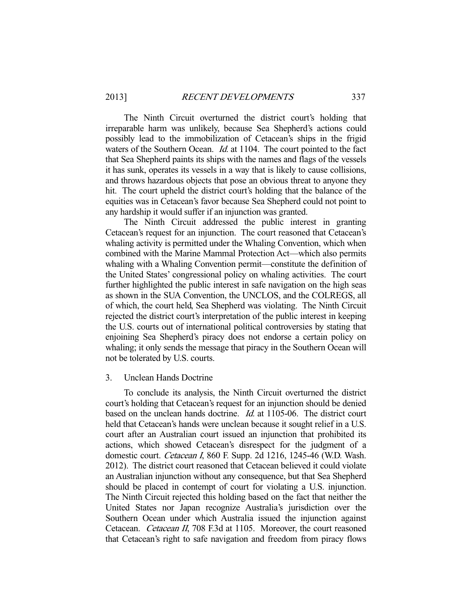The Ninth Circuit overturned the district court's holding that irreparable harm was unlikely, because Sea Shepherd's actions could possibly lead to the immobilization of Cetacean's ships in the frigid waters of the Southern Ocean. *Id.* at 1104. The court pointed to the fact that Sea Shepherd paints its ships with the names and flags of the vessels it has sunk, operates its vessels in a way that is likely to cause collisions, and throws hazardous objects that pose an obvious threat to anyone they hit. The court upheld the district court's holding that the balance of the equities was in Cetacean's favor because Sea Shepherd could not point to any hardship it would suffer if an injunction was granted.

 The Ninth Circuit addressed the public interest in granting Cetacean's request for an injunction. The court reasoned that Cetacean's whaling activity is permitted under the Whaling Convention, which when combined with the Marine Mammal Protection Act—which also permits whaling with a Whaling Convention permit—constitute the definition of the United States' congressional policy on whaling activities. The court further highlighted the public interest in safe navigation on the high seas as shown in the SUA Convention, the UNCLOS, and the COLREGS, all of which, the court held, Sea Shepherd was violating. The Ninth Circuit rejected the district court's interpretation of the public interest in keeping the U.S. courts out of international political controversies by stating that enjoining Sea Shepherd's piracy does not endorse a certain policy on whaling; it only sends the message that piracy in the Southern Ocean will not be tolerated by U.S. courts.

#### 3. Unclean Hands Doctrine

 To conclude its analysis, the Ninth Circuit overturned the district court's holding that Cetacean's request for an injunction should be denied based on the unclean hands doctrine. Id. at 1105-06. The district court held that Cetacean's hands were unclean because it sought relief in a U.S. court after an Australian court issued an injunction that prohibited its actions, which showed Cetacean's disrespect for the judgment of a domestic court. Cetacean I, 860 F. Supp. 2d 1216, 1245-46 (W.D. Wash. 2012). The district court reasoned that Cetacean believed it could violate an Australian injunction without any consequence, but that Sea Shepherd should be placed in contempt of court for violating a U.S. injunction. The Ninth Circuit rejected this holding based on the fact that neither the United States nor Japan recognize Australia's jurisdiction over the Southern Ocean under which Australia issued the injunction against Cetacean. Cetacean II, 708 F.3d at 1105. Moreover, the court reasoned that Cetacean's right to safe navigation and freedom from piracy flows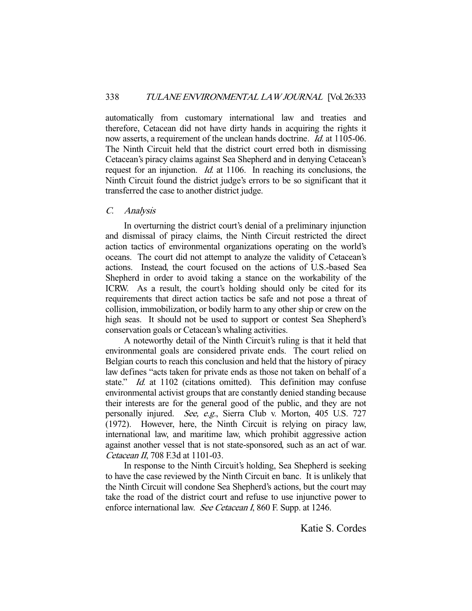automatically from customary international law and treaties and therefore, Cetacean did not have dirty hands in acquiring the rights it now asserts, a requirement of the unclean hands doctrine. *Id.* at 1105-06. The Ninth Circuit held that the district court erred both in dismissing Cetacean's piracy claims against Sea Shepherd and in denying Cetacean's request for an injunction. Id. at 1106. In reaching its conclusions, the Ninth Circuit found the district judge's errors to be so significant that it transferred the case to another district judge.

# C. Analysis

 In overturning the district court's denial of a preliminary injunction and dismissal of piracy claims, the Ninth Circuit restricted the direct action tactics of environmental organizations operating on the world's oceans. The court did not attempt to analyze the validity of Cetacean's actions. Instead, the court focused on the actions of U.S.-based Sea Shepherd in order to avoid taking a stance on the workability of the ICRW. As a result, the court's holding should only be cited for its requirements that direct action tactics be safe and not pose a threat of collision, immobilization, or bodily harm to any other ship or crew on the high seas. It should not be used to support or contest Sea Shepherd's conservation goals or Cetacean's whaling activities.

 A noteworthy detail of the Ninth Circuit's ruling is that it held that environmental goals are considered private ends. The court relied on Belgian courts to reach this conclusion and held that the history of piracy law defines "acts taken for private ends as those not taken on behalf of a state." *Id.* at 1102 (citations omitted). This definition may confuse environmental activist groups that are constantly denied standing because their interests are for the general good of the public, and they are not personally injured. See, e.g., Sierra Club v. Morton, 405 U.S. 727 (1972). However, here, the Ninth Circuit is relying on piracy law, international law, and maritime law, which prohibit aggressive action against another vessel that is not state-sponsored, such as an act of war. Cetacean II, 708 F.3d at 1101-03.

 In response to the Ninth Circuit's holding, Sea Shepherd is seeking to have the case reviewed by the Ninth Circuit en banc. It is unlikely that the Ninth Circuit will condone Sea Shepherd's actions, but the court may take the road of the district court and refuse to use injunctive power to enforce international law. See Cetacean I, 860 F. Supp. at 1246.

Katie S. Cordes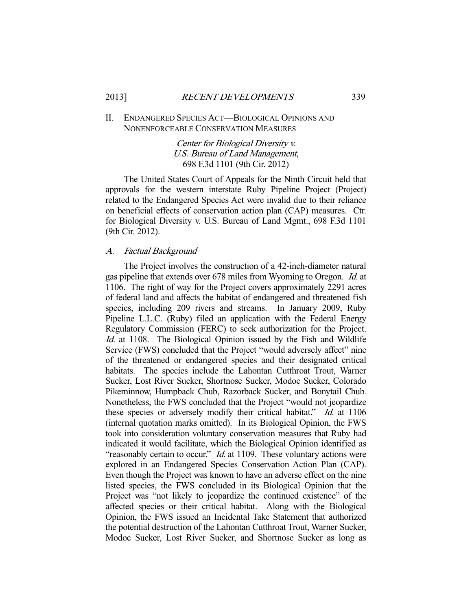# II. ENDANGERED SPECIES ACT—BIOLOGICAL OPINIONS AND NONENFORCEABLE CONSERVATION MEASURES

Center for Biological Diversity v. U.S. Bureau of Land Management, 698 F.3d 1101 (9th Cir. 2012)

 The United States Court of Appeals for the Ninth Circuit held that approvals for the western interstate Ruby Pipeline Project (Project) related to the Endangered Species Act were invalid due to their reliance on beneficial effects of conservation action plan (CAP) measures. Ctr. for Biological Diversity v. U.S. Bureau of Land Mgmt., 698 F.3d 1101 (9th Cir. 2012).

## A. Factual Background

 The Project involves the construction of a 42-inch-diameter natural gas pipeline that extends over 678 miles from Wyoming to Oregon. Id. at 1106. The right of way for the Project covers approximately 2291 acres of federal land and affects the habitat of endangered and threatened fish species, including 209 rivers and streams. In January 2009, Ruby Pipeline L.L.C. (Ruby) filed an application with the Federal Energy Regulatory Commission (FERC) to seek authorization for the Project. Id. at 1108. The Biological Opinion issued by the Fish and Wildlife Service (FWS) concluded that the Project "would adversely affect" nine of the threatened or endangered species and their designated critical habitats. The species include the Lahontan Cutthroat Trout, Warner Sucker, Lost River Sucker, Shortnose Sucker, Modoc Sucker, Colorado Pikeminnow, Humpback Chub, Razorback Sucker, and Bonytail Chub. Nonetheless, the FWS concluded that the Project "would not jeopardize these species or adversely modify their critical habitat." Id. at 1106 (internal quotation marks omitted). In its Biological Opinion, the FWS took into consideration voluntary conservation measures that Ruby had indicated it would facilitate, which the Biological Opinion identified as "reasonably certain to occur." *Id.* at 1109. These voluntary actions were explored in an Endangered Species Conservation Action Plan (CAP). Even though the Project was known to have an adverse effect on the nine listed species, the FWS concluded in its Biological Opinion that the Project was "not likely to jeopardize the continued existence" of the affected species or their critical habitat. Along with the Biological Opinion, the FWS issued an Incidental Take Statement that authorized the potential destruction of the Lahontan Cutthroat Trout, Warner Sucker, Modoc Sucker, Lost River Sucker, and Shortnose Sucker as long as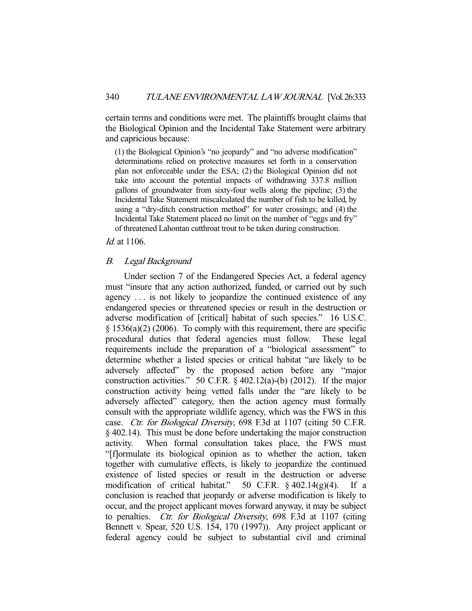certain terms and conditions were met. The plaintiffs brought claims that the Biological Opinion and the Incidental Take Statement were arbitrary and capricious because:

(1) the Biological Opinion's "no jeopardy" and "no adverse modification" determinations relied on protective measures set forth in a conservation plan not enforceable under the ESA; (2) the Biological Opinion did not take into account the potential impacts of withdrawing 337.8 million gallons of groundwater from sixty-four wells along the pipeline; (3) the Incidental Take Statement miscalculated the number of fish to be killed, by using a "dry-ditch construction method" for water crossings; and (4) the Incidental Take Statement placed no limit on the number of "eggs and fry" of threatened Lahontan cutthroat trout to be taken during construction.

## Id. at 1106.

## B. Legal Background

 Under section 7 of the Endangered Species Act, a federal agency must "insure that any action authorized, funded, or carried out by such agency . . . is not likely to jeopardize the continued existence of any endangered species or threatened species or result in the destruction or adverse modification of [critical] habitat of such species." 16 U.S.C.  $\S$  1536(a)(2) (2006). To comply with this requirement, there are specific procedural duties that federal agencies must follow. These legal requirements include the preparation of a "biological assessment" to determine whether a listed species or critical habitat "are likely to be adversely affected" by the proposed action before any "major construction activities." 50 C.F.R. § 402.12(a)-(b) (2012). If the major construction activity being vetted falls under the "are likely to be adversely affected" category, then the action agency must formally consult with the appropriate wildlife agency, which was the FWS in this case. *Ctr. for Biological Diversity*, 698 F.3d at 1107 (citing 50 C.F.R. § 402.14). This must be done before undertaking the major construction activity. When formal consultation takes place, the FWS must "[f]ormulate its biological opinion as to whether the action, taken together with cumulative effects, is likely to jeopardize the continued existence of listed species or result in the destruction or adverse modification of critical habitat." 50 C.F.R.  $\frac{6}{9}$  402.14(g)(4). If a conclusion is reached that jeopardy or adverse modification is likely to occur, and the project applicant moves forward anyway, it may be subject to penalties. *Ctr. for Biological Diversity*, 698 F.3d at 1107 (citing Bennett v. Spear, 520 U.S. 154, 170 (1997)). Any project applicant or federal agency could be subject to substantial civil and criminal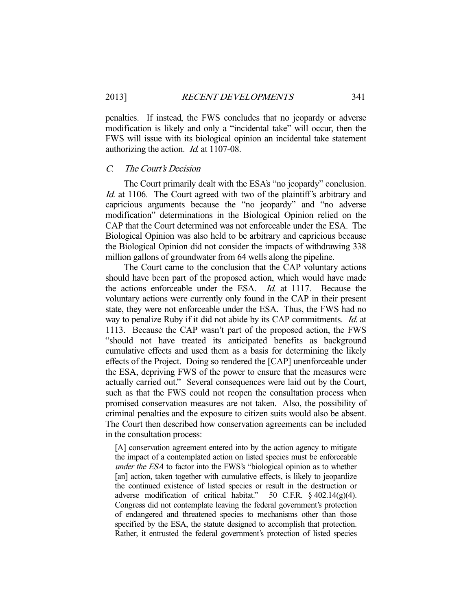penalties. If instead, the FWS concludes that no jeopardy or adverse modification is likely and only a "incidental take" will occur, then the FWS will issue with its biological opinion an incidental take statement authorizing the action. Id. at 1107-08.

#### C. The Court's Decision

 The Court primarily dealt with the ESA's "no jeopardy" conclusion. Id. at 1106. The Court agreed with two of the plaintiff's arbitrary and capricious arguments because the "no jeopardy" and "no adverse modification" determinations in the Biological Opinion relied on the CAP that the Court determined was not enforceable under the ESA. The Biological Opinion was also held to be arbitrary and capricious because the Biological Opinion did not consider the impacts of withdrawing 338 million gallons of groundwater from 64 wells along the pipeline.

 The Court came to the conclusion that the CAP voluntary actions should have been part of the proposed action, which would have made the actions enforceable under the ESA. Id. at 1117. Because the voluntary actions were currently only found in the CAP in their present state, they were not enforceable under the ESA. Thus, the FWS had no way to penalize Ruby if it did not abide by its CAP commitments. *Id.* at 1113. Because the CAP wasn't part of the proposed action, the FWS "should not have treated its anticipated benefits as background cumulative effects and used them as a basis for determining the likely effects of the Project. Doing so rendered the [CAP] unenforceable under the ESA, depriving FWS of the power to ensure that the measures were actually carried out." Several consequences were laid out by the Court, such as that the FWS could not reopen the consultation process when promised conservation measures are not taken. Also, the possibility of criminal penalties and the exposure to citizen suits would also be absent. The Court then described how conservation agreements can be included in the consultation process:

[A] conservation agreement entered into by the action agency to mitigate the impact of a contemplated action on listed species must be enforceable under the ESA to factor into the FWS's "biological opinion as to whether [an] action, taken together with cumulative effects, is likely to jeopardize the continued existence of listed species or result in the destruction or adverse modification of critical habitat." 50 C.F.R.  $\S$  402.14(g)(4). Congress did not contemplate leaving the federal government's protection of endangered and threatened species to mechanisms other than those specified by the ESA, the statute designed to accomplish that protection. Rather, it entrusted the federal government's protection of listed species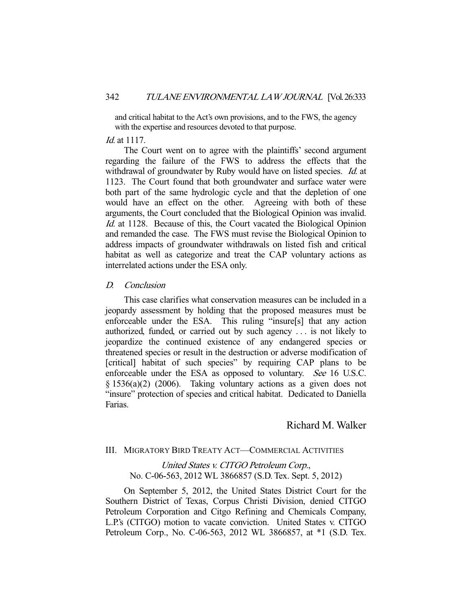and critical habitat to the Act's own provisions, and to the FWS, the agency with the expertise and resources devoted to that purpose.

#### *Id.* at 1117.

 The Court went on to agree with the plaintiffs' second argument regarding the failure of the FWS to address the effects that the withdrawal of groundwater by Ruby would have on listed species. *Id.* at 1123. The Court found that both groundwater and surface water were both part of the same hydrologic cycle and that the depletion of one would have an effect on the other. Agreeing with both of these arguments, the Court concluded that the Biological Opinion was invalid. Id. at 1128. Because of this, the Court vacated the Biological Opinion and remanded the case. The FWS must revise the Biological Opinion to address impacts of groundwater withdrawals on listed fish and critical habitat as well as categorize and treat the CAP voluntary actions as interrelated actions under the ESA only.

# D. Conclusion

 This case clarifies what conservation measures can be included in a jeopardy assessment by holding that the proposed measures must be enforceable under the ESA. This ruling "insure[s] that any action authorized, funded, or carried out by such agency . . . is not likely to jeopardize the continued existence of any endangered species or threatened species or result in the destruction or adverse modification of [critical] habitat of such species" by requiring CAP plans to be enforceable under the ESA as opposed to voluntary. See 16 U.S.C.  $§ 1536(a)(2)$  (2006). Taking voluntary actions as a given does not "insure" protection of species and critical habitat. Dedicated to Daniella Farias.

# Richard M. Walker

# III. MIGRATORY BIRD TREATY ACT—COMMERCIAL ACTIVITIES

United States v. CITGO Petroleum Corp., No. C-06-563, 2012 WL 3866857 (S.D. Tex. Sept. 5, 2012)

 On September 5, 2012, the United States District Court for the Southern District of Texas, Corpus Christi Division, denied CITGO Petroleum Corporation and Citgo Refining and Chemicals Company, L.P.'s (CITGO) motion to vacate conviction. United States v. CITGO Petroleum Corp., No. C-06-563, 2012 WL 3866857, at \*1 (S.D. Tex.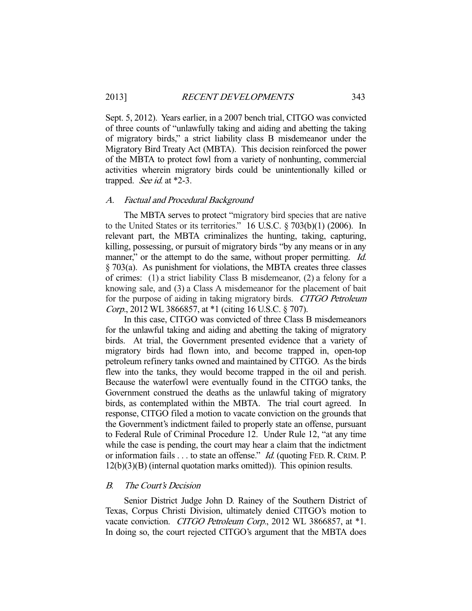Sept. 5, 2012). Years earlier, in a 2007 bench trial, CITGO was convicted of three counts of "unlawfully taking and aiding and abetting the taking of migratory birds," a strict liability class B misdemeanor under the Migratory Bird Treaty Act (MBTA). This decision reinforced the power of the MBTA to protect fowl from a variety of nonhunting, commercial activities wherein migratory birds could be unintentionally killed or trapped. See id. at \*2-3.

## A. Factual and Procedural Background

 The MBTA serves to protect "migratory bird species that are native to the United States or its territories." 16 U.S.C. § 703(b)(1) (2006). In relevant part, the MBTA criminalizes the hunting, taking, capturing, killing, possessing, or pursuit of migratory birds "by any means or in any manner," or the attempt to do the same, without proper permitting. *Id.* § 703(a). As punishment for violations, the MBTA creates three classes of crimes: (1) a strict liability Class B misdemeanor, (2) a felony for a knowing sale, and (3) a Class A misdemeanor for the placement of bait for the purpose of aiding in taking migratory birds. CITGO Petroleum Corp., 2012 WL 3866857, at \*1 (citing 16 U.S.C. § 707).

 In this case, CITGO was convicted of three Class B misdemeanors for the unlawful taking and aiding and abetting the taking of migratory birds. At trial, the Government presented evidence that a variety of migratory birds had flown into, and become trapped in, open-top petroleum refinery tanks owned and maintained by CITGO. As the birds flew into the tanks, they would become trapped in the oil and perish. Because the waterfowl were eventually found in the CITGO tanks, the Government construed the deaths as the unlawful taking of migratory birds, as contemplated within the MBTA. The trial court agreed. In response, CITGO filed a motion to vacate conviction on the grounds that the Government's indictment failed to properly state an offense, pursuant to Federal Rule of Criminal Procedure 12. Under Rule 12, "at any time while the case is pending, the court may hear a claim that the indictment or information fails . . . to state an offense." *Id.* (quoting FED. R. CRIM. P. 12(b)(3)(B) (internal quotation marks omitted)). This opinion results.

# B. The Court's Decision

 Senior District Judge John D. Rainey of the Southern District of Texas, Corpus Christi Division, ultimately denied CITGO's motion to vacate conviction. CITGO Petroleum Corp., 2012 WL 3866857, at \*1. In doing so, the court rejected CITGO's argument that the MBTA does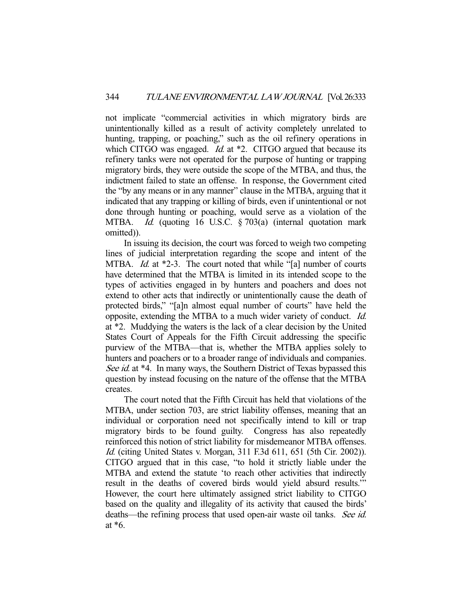not implicate "commercial activities in which migratory birds are unintentionally killed as a result of activity completely unrelated to hunting, trapping, or poaching," such as the oil refinery operations in which CITGO was engaged. *Id.* at  $*2$ . CITGO argued that because its refinery tanks were not operated for the purpose of hunting or trapping migratory birds, they were outside the scope of the MTBA, and thus, the indictment failed to state an offense. In response, the Government cited the "by any means or in any manner" clause in the MTBA, arguing that it indicated that any trapping or killing of birds, even if unintentional or not done through hunting or poaching, would serve as a violation of the MTBA. *Id.* (quoting 16 U.S.C. § 703(a) (internal quotation mark omitted)).

 In issuing its decision, the court was forced to weigh two competing lines of judicial interpretation regarding the scope and intent of the MTBA. *Id.* at \*2-3. The court noted that while "[a] number of courts have determined that the MTBA is limited in its intended scope to the types of activities engaged in by hunters and poachers and does not extend to other acts that indirectly or unintentionally cause the death of protected birds," "[a]n almost equal number of courts" have held the opposite, extending the MTBA to a much wider variety of conduct. Id. at \*2. Muddying the waters is the lack of a clear decision by the United States Court of Appeals for the Fifth Circuit addressing the specific purview of the MTBA—that is, whether the MTBA applies solely to hunters and poachers or to a broader range of individuals and companies. See id. at \*4. In many ways, the Southern District of Texas bypassed this question by instead focusing on the nature of the offense that the MTBA creates.

 The court noted that the Fifth Circuit has held that violations of the MTBA, under section 703, are strict liability offenses, meaning that an individual or corporation need not specifically intend to kill or trap migratory birds to be found guilty. Congress has also repeatedly reinforced this notion of strict liability for misdemeanor MTBA offenses. Id. (citing United States v. Morgan, 311 F.3d 611, 651 (5th Cir. 2002)). CITGO argued that in this case, "to hold it strictly liable under the MTBA and extend the statute 'to reach other activities that indirectly result in the deaths of covered birds would yield absurd results.'" However, the court here ultimately assigned strict liability to CITGO based on the quality and illegality of its activity that caused the birds' deaths—the refining process that used open-air waste oil tanks. See id. at \*6.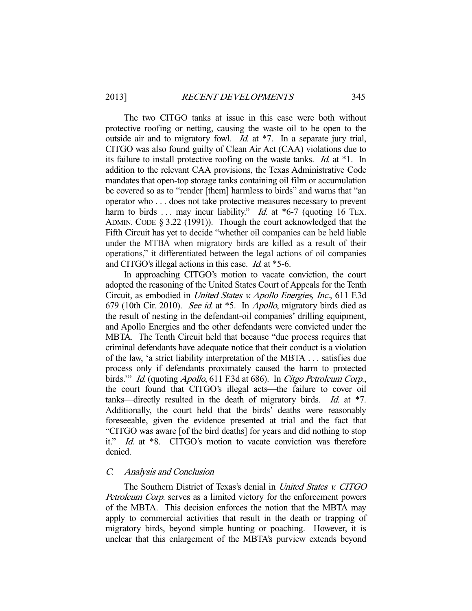The two CITGO tanks at issue in this case were both without protective roofing or netting, causing the waste oil to be open to the outside air and to migratory fowl. Id. at \*7. In a separate jury trial, CITGO was also found guilty of Clean Air Act (CAA) violations due to its failure to install protective roofing on the waste tanks. Id. at \*1. In addition to the relevant CAA provisions, the Texas Administrative Code mandates that open-top storage tanks containing oil film or accumulation be covered so as to "render [them] harmless to birds" and warns that "an operator who . . . does not take protective measures necessary to prevent harm to birds ... may incur liability." *Id.* at \*6-7 (quoting 16 TEX. ADMIN. CODE § 3.22 (1991)). Though the court acknowledged that the Fifth Circuit has yet to decide "whether oil companies can be held liable under the MTBA when migratory birds are killed as a result of their operations," it differentiated between the legal actions of oil companies and CITGO's illegal actions in this case. Id. at \*5-6.

 In approaching CITGO's motion to vacate conviction, the court adopted the reasoning of the United States Court of Appeals for the Tenth Circuit, as embodied in United States v. Apollo Energies, Inc., 611 F.3d 679 (10th Cir. 2010). See id. at \*5. In Apollo, migratory birds died as the result of nesting in the defendant-oil companies' drilling equipment, and Apollo Energies and the other defendants were convicted under the MBTA. The Tenth Circuit held that because "due process requires that criminal defendants have adequate notice that their conduct is a violation of the law, 'a strict liability interpretation of the MBTA . . . satisfies due process only if defendants proximately caused the harm to protected birds." Id. (quoting Apollo, 611 F.3d at 686). In Citgo Petroleum Corp., the court found that CITGO's illegal acts—the failure to cover oil tanks—directly resulted in the death of migratory birds. Id. at  $*7$ . Additionally, the court held that the birds' deaths were reasonably foreseeable, given the evidence presented at trial and the fact that "CITGO was aware [of the bird deaths] for years and did nothing to stop it." Id. at \*8. CITGO's motion to vacate conviction was therefore denied.

# C. Analysis and Conclusion

The Southern District of Texas's denial in United States v. CITGO Petroleum Corp. serves as a limited victory for the enforcement powers of the MBTA. This decision enforces the notion that the MBTA may apply to commercial activities that result in the death or trapping of migratory birds, beyond simple hunting or poaching. However, it is unclear that this enlargement of the MBTA's purview extends beyond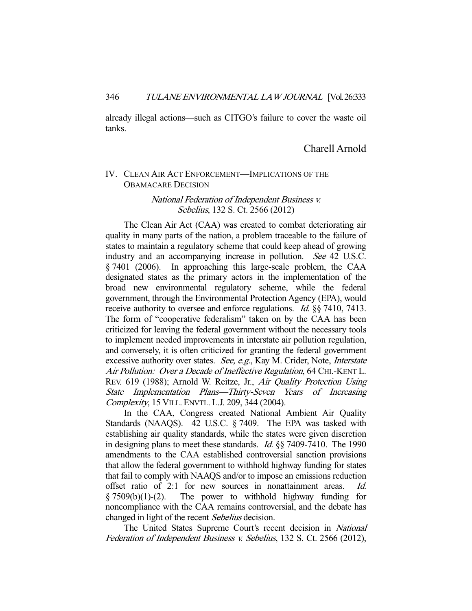already illegal actions—such as CITGO's failure to cover the waste oil tanks.

# Charell Arnold

# IV. CLEAN AIR ACT ENFORCEMENT—IMPLICATIONS OF THE OBAMACARE DECISION

National Federation of Independent Business v. Sebelius, 132 S. Ct. 2566 (2012)

 The Clean Air Act (CAA) was created to combat deteriorating air quality in many parts of the nation, a problem traceable to the failure of states to maintain a regulatory scheme that could keep ahead of growing industry and an accompanying increase in pollution. See 42 U.S.C. § 7401 (2006). In approaching this large-scale problem, the CAA designated states as the primary actors in the implementation of the broad new environmental regulatory scheme, while the federal government, through the Environmental Protection Agency (EPA), would receive authority to oversee and enforce regulations. *Id.* §§ 7410, 7413. The form of "cooperative federalism" taken on by the CAA has been criticized for leaving the federal government without the necessary tools to implement needed improvements in interstate air pollution regulation, and conversely, it is often criticized for granting the federal government excessive authority over states. See, e.g., Kay M. Crider, Note, *Interstate* Air Pollution: Over a Decade of Ineffective Regulation, 64 CHI.-KENT L. REV. 619 (1988); Arnold W. Reitze, Jr., Air Quality Protection Using State Implementation Plans—Thirty-Seven Years of Increasing Complexity, 15 VILL. ENVTL. L.J. 209, 344 (2004).

 In the CAA, Congress created National Ambient Air Quality Standards (NAAQS). 42 U.S.C. § 7409. The EPA was tasked with establishing air quality standards, while the states were given discretion in designing plans to meet these standards. Id. §§ 7409-7410. The 1990 amendments to the CAA established controversial sanction provisions that allow the federal government to withhold highway funding for states that fail to comply with NAAQS and/or to impose an emissions reduction offset ratio of 2:1 for new sources in nonattainment areas. Id. § 7509(b)(1)-(2). The power to withhold highway funding for noncompliance with the CAA remains controversial, and the debate has changed in light of the recent *Sebelius* decision.

 The United States Supreme Court's recent decision in National Federation of Independent Business v. Sebelius, 132 S. Ct. 2566 (2012),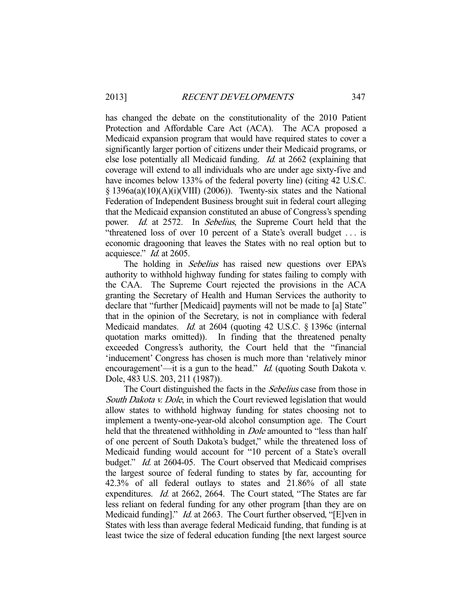has changed the debate on the constitutionality of the 2010 Patient Protection and Affordable Care Act (ACA). The ACA proposed a Medicaid expansion program that would have required states to cover a significantly larger portion of citizens under their Medicaid programs, or else lose potentially all Medicaid funding. Id. at 2662 (explaining that coverage will extend to all individuals who are under age sixty-five and have incomes below 133% of the federal poverty line) (citing 42 U.S.C.  $\S$  1396a(a)(10)(A)(i)(VIII) (2006)). Twenty-six states and the National Federation of Independent Business brought suit in federal court alleging that the Medicaid expansion constituted an abuse of Congress's spending power. *Id.* at 2572. In Sebelius, the Supreme Court held that the "threatened loss of over 10 percent of a State's overall budget . . . is economic dragooning that leaves the States with no real option but to acquiesce." Id. at 2605.

The holding in *Sebelius* has raised new questions over EPA's authority to withhold highway funding for states failing to comply with the CAA. The Supreme Court rejected the provisions in the ACA granting the Secretary of Health and Human Services the authority to declare that "further [Medicaid] payments will not be made to [a] State" that in the opinion of the Secretary, is not in compliance with federal Medicaid mandates. Id. at 2604 (quoting 42 U.S.C. § 1396c (internal quotation marks omitted)). In finding that the threatened penalty exceeded Congress's authority, the Court held that the "financial 'inducement' Congress has chosen is much more than 'relatively minor encouragement'—it is a gun to the head." *Id.* (quoting South Dakota v. Dole, 483 U.S. 203, 211 (1987)).

The Court distinguished the facts in the *Sebelius* case from those in South Dakota v. Dole, in which the Court reviewed legislation that would allow states to withhold highway funding for states choosing not to implement a twenty-one-year-old alcohol consumption age. The Court held that the threatened withholding in *Dole* amounted to "less than half of one percent of South Dakota's budget," while the threatened loss of Medicaid funding would account for "10 percent of a State's overall budget." *Id.* at 2604-05. The Court observed that Medicaid comprises the largest source of federal funding to states by far, accounting for 42.3% of all federal outlays to states and 21.86% of all state expenditures. Id. at 2662, 2664. The Court stated, "The States are far less reliant on federal funding for any other program [than they are on Medicaid funding]." *Id.* at 2663. The Court further observed, "[E]ven in States with less than average federal Medicaid funding, that funding is at least twice the size of federal education funding [the next largest source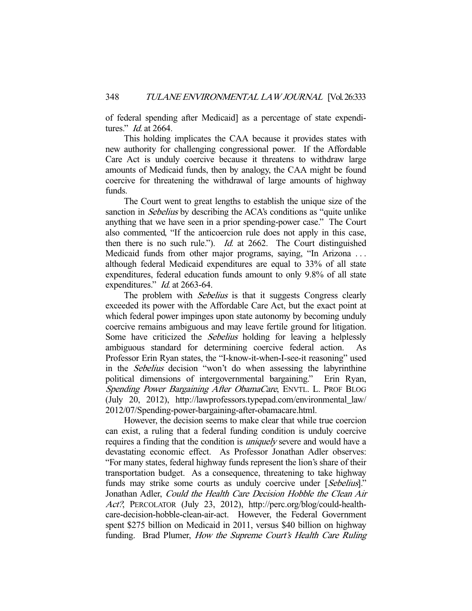of federal spending after Medicaid] as a percentage of state expenditures." Id. at 2664.

 This holding implicates the CAA because it provides states with new authority for challenging congressional power. If the Affordable Care Act is unduly coercive because it threatens to withdraw large amounts of Medicaid funds, then by analogy, the CAA might be found coercive for threatening the withdrawal of large amounts of highway funds.

 The Court went to great lengths to establish the unique size of the sanction in *Sebelius* by describing the ACA's conditions as "quite unlike anything that we have seen in a prior spending-power case." The Court also commented, "If the anticoercion rule does not apply in this case, then there is no such rule."). Id. at 2662. The Court distinguished Medicaid funds from other major programs, saying, "In Arizona . . . although federal Medicaid expenditures are equal to 33% of all state expenditures, federal education funds amount to only 9.8% of all state expenditures." *Id.* at 2663-64.

The problem with *Sebelius* is that it suggests Congress clearly exceeded its power with the Affordable Care Act, but the exact point at which federal power impinges upon state autonomy by becoming unduly coercive remains ambiguous and may leave fertile ground for litigation. Some have criticized the *Sebelius* holding for leaving a helplessly ambiguous standard for determining coercive federal action. As Professor Erin Ryan states, the "I-know-it-when-I-see-it reasoning" used in the Sebelius decision "won't do when assessing the labyrinthine political dimensions of intergovernmental bargaining." Erin Ryan, Spending Power Bargaining After ObamaCare, ENVTL. L. PROF BLOG (July 20, 2012), http://lawprofessors.typepad.com/environmental\_law/ 2012/07/Spending-power-bargaining-after-obamacare.html.

 However, the decision seems to make clear that while true coercion can exist, a ruling that a federal funding condition is unduly coercive requires a finding that the condition is uniquely severe and would have a devastating economic effect. As Professor Jonathan Adler observes: "For many states, federal highway funds represent the lion's share of their transportation budget. As a consequence, threatening to take highway funds may strike some courts as unduly coercive under [Sebelius]." Jonathan Adler, Could the Health Care Decision Hobble the Clean Air Act?, PERCOLATOR (July 23, 2012), http://perc.org/blog/could-healthcare-decision-hobble-clean-air-act. However, the Federal Government spent \$275 billion on Medicaid in 2011, versus \$40 billion on highway funding. Brad Plumer, How the Supreme Court's Health Care Ruling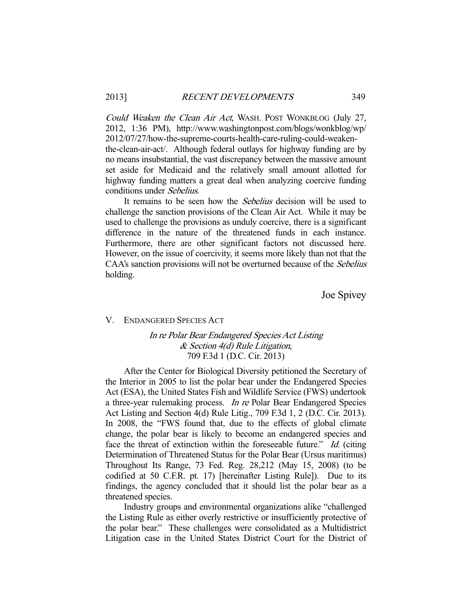Could Weaken the Clean Air Act, WASH. POST WONKBLOG (July 27, 2012, 1:36 PM), http://www.washingtonpost.com/blogs/wonkblog/wp/ 2012/07/27/how-the-supreme-courts-health-care-ruling-could-weakenthe-clean-air-act/. Although federal outlays for highway funding are by no means insubstantial, the vast discrepancy between the massive amount set aside for Medicaid and the relatively small amount allotted for highway funding matters a great deal when analyzing coercive funding conditions under Sebelius.

It remains to be seen how the *Sebelius* decision will be used to challenge the sanction provisions of the Clean Air Act. While it may be used to challenge the provisions as unduly coercive, there is a significant difference in the nature of the threatened funds in each instance. Furthermore, there are other significant factors not discussed here. However, on the issue of coercivity, it seems more likely than not that the CAA's sanction provisions will not be overturned because of the *Sebelius* holding.

Joe Spivey

#### V. ENDANGERED SPECIES ACT

# In re Polar Bear Endangered Species Act Listing & Section 4(d) Rule Litigation, 709 F.3d 1 (D.C. Cir. 2013)

 After the Center for Biological Diversity petitioned the Secretary of the Interior in 2005 to list the polar bear under the Endangered Species Act (ESA), the United States Fish and Wildlife Service (FWS) undertook a three-year rulemaking process. In re Polar Bear Endangered Species Act Listing and Section 4(d) Rule Litig., 709 F.3d 1, 2 (D.C. Cir. 2013). In 2008, the "FWS found that, due to the effects of global climate change, the polar bear is likely to become an endangered species and face the threat of extinction within the foreseeable future." Id. (citing Determination of Threatened Status for the Polar Bear (Ursus maritimus) Throughout Its Range, 73 Fed. Reg. 28,212 (May 15, 2008) (to be codified at 50 C.F.R. pt. 17) [hereinafter Listing Rule]). Due to its findings, the agency concluded that it should list the polar bear as a threatened species.

 Industry groups and environmental organizations alike "challenged the Listing Rule as either overly restrictive or insufficiently protective of the polar bear." These challenges were consolidated as a Multidistrict Litigation case in the United States District Court for the District of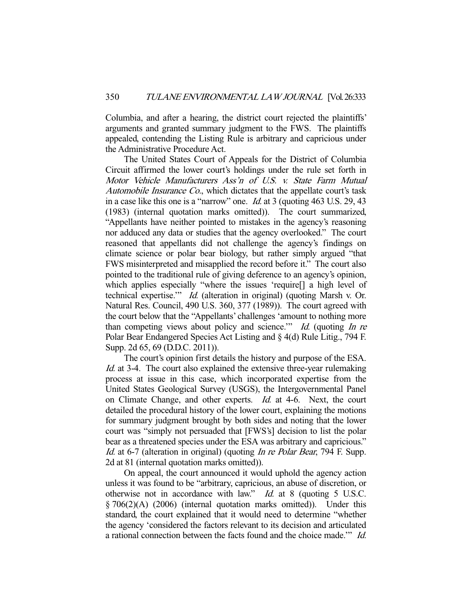Columbia, and after a hearing, the district court rejected the plaintiffs' arguments and granted summary judgment to the FWS. The plaintiffs appealed, contending the Listing Rule is arbitrary and capricious under the Administrative Procedure Act.

 The United States Court of Appeals for the District of Columbia Circuit affirmed the lower court's holdings under the rule set forth in Motor Vehicle Manufacturers Ass'n of U.S. v. State Farm Mutual Automobile Insurance Co., which dictates that the appellate court's task in a case like this one is a "narrow" one. Id. at 3 (quoting 463 U.S. 29, 43 (1983) (internal quotation marks omitted)). The court summarized, "Appellants have neither pointed to mistakes in the agency's reasoning nor adduced any data or studies that the agency overlooked." The court reasoned that appellants did not challenge the agency's findings on climate science or polar bear biology, but rather simply argued "that FWS misinterpreted and misapplied the record before it." The court also pointed to the traditional rule of giving deference to an agency's opinion, which applies especially "where the issues 'require[] a high level of technical expertise.'" Id. (alteration in original) (quoting Marsh v. Or. Natural Res. Council, 490 U.S. 360, 377 (1989)). The court agreed with the court below that the "Appellants' challenges 'amount to nothing more than competing views about policy and science." Id. (quoting In re Polar Bear Endangered Species Act Listing and § 4(d) Rule Litig., 794 F. Supp. 2d 65, 69 (D.D.C. 2011)).

 The court's opinion first details the history and purpose of the ESA. Id. at 3-4. The court also explained the extensive three-year rulemaking process at issue in this case, which incorporated expertise from the United States Geological Survey (USGS), the Intergovernmental Panel on Climate Change, and other experts. Id. at 4-6. Next, the court detailed the procedural history of the lower court, explaining the motions for summary judgment brought by both sides and noting that the lower court was "simply not persuaded that [FWS's] decision to list the polar bear as a threatened species under the ESA was arbitrary and capricious." Id. at 6-7 (alteration in original) (quoting In re Polar Bear, 794 F. Supp. 2d at 81 (internal quotation marks omitted)).

 On appeal, the court announced it would uphold the agency action unless it was found to be "arbitrary, capricious, an abuse of discretion, or otherwise not in accordance with law." Id. at 8 (quoting 5 U.S.C. § 706(2)(A) (2006) (internal quotation marks omitted)). Under this standard, the court explained that it would need to determine "whether the agency 'considered the factors relevant to its decision and articulated a rational connection between the facts found and the choice made.'" Id.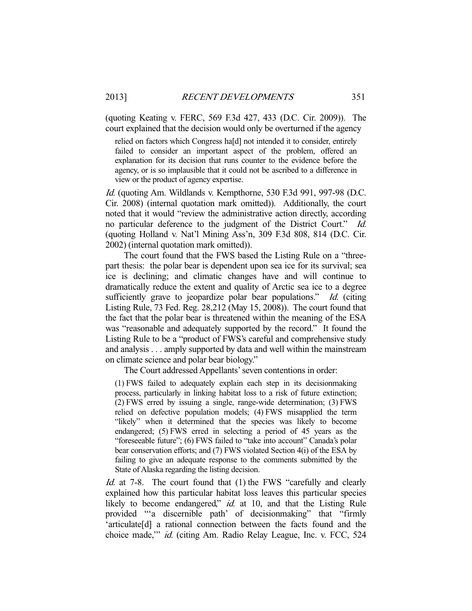(quoting Keating v. FERC, 569 F.3d 427, 433 (D.C. Cir. 2009)). The court explained that the decision would only be overturned if the agency

relied on factors which Congress ha[d] not intended it to consider, entirely failed to consider an important aspect of the problem, offered an explanation for its decision that runs counter to the evidence before the agency, or is so implausible that it could not be ascribed to a difference in view or the product of agency expertise.

Id. (quoting Am. Wildlands v. Kempthorne, 530 F.3d 991, 997-98 (D.C.) Cir. 2008) (internal quotation mark omitted)). Additionally, the court noted that it would "review the administrative action directly, according no particular deference to the judgment of the District Court." Id. (quoting Holland v. Nat'l Mining Ass'n, 309 F.3d 808, 814 (D.C. Cir. 2002) (internal quotation mark omitted)).

 The court found that the FWS based the Listing Rule on a "threepart thesis: the polar bear is dependent upon sea ice for its survival; sea ice is declining; and climatic changes have and will continue to dramatically reduce the extent and quality of Arctic sea ice to a degree sufficiently grave to jeopardize polar bear populations." Id. (citing Listing Rule, 73 Fed. Reg. 28,212 (May 15, 2008)). The court found that the fact that the polar bear is threatened within the meaning of the ESA was "reasonable and adequately supported by the record." It found the Listing Rule to be a "product of FWS's careful and comprehensive study and analysis . . . amply supported by data and well within the mainstream on climate science and polar bear biology."

The Court addressed Appellants' seven contentions in order:

(1) FWS failed to adequately explain each step in its decisionmaking process, particularly in linking habitat loss to a risk of future extinction; (2) FWS erred by issuing a single, range-wide determination; (3) FWS relied on defective population models; (4) FWS misapplied the term "likely" when it determined that the species was likely to become endangered; (5) FWS erred in selecting a period of 45 years as the "foreseeable future"; (6) FWS failed to "take into account" Canada's polar bear conservation efforts; and (7) FWS violated Section 4(i) of the ESA by failing to give an adequate response to the comments submitted by the State of Alaska regarding the listing decision.

Id. at 7-8. The court found that (1) the FWS "carefully and clearly explained how this particular habitat loss leaves this particular species likely to become endangered," *id.* at 10, and that the Listing Rule provided "'a discernible path' of decisionmaking" that "firmly 'articulate[d] a rational connection between the facts found and the choice made,'" id. (citing Am. Radio Relay League, Inc. v. FCC, 524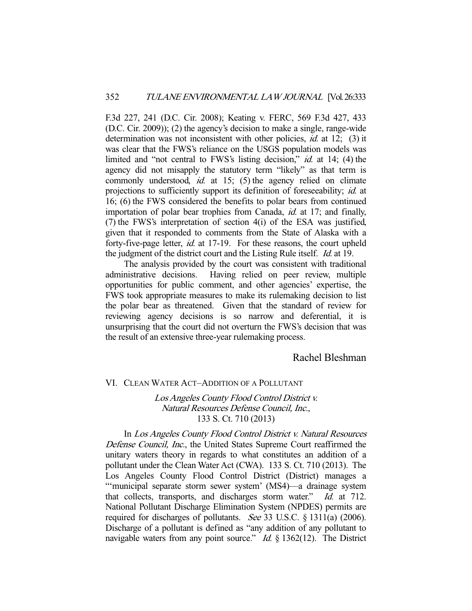F.3d 227, 241 (D.C. Cir. 2008); Keating v. FERC, 569 F.3d 427, 433 (D.C. Cir. 2009)); (2) the agency's decision to make a single, range-wide determination was not inconsistent with other policies, *id.* at 12; (3) it was clear that the FWS's reliance on the USGS population models was limited and "not central to FWS's listing decision," *id.* at 14; (4) the agency did not misapply the statutory term "likely" as that term is commonly understood, *id.* at 15; (5) the agency relied on climate projections to sufficiently support its definition of foreseeability; id. at 16; (6) the FWS considered the benefits to polar bears from continued importation of polar bear trophies from Canada, id. at 17; and finally, (7) the FWS's interpretation of section 4(i) of the ESA was justified, given that it responded to comments from the State of Alaska with a forty-five-page letter, *id.* at 17-19. For these reasons, the court upheld the judgment of the district court and the Listing Rule itself. Id. at 19.

 The analysis provided by the court was consistent with traditional administrative decisions. Having relied on peer review, multiple opportunities for public comment, and other agencies' expertise, the FWS took appropriate measures to make its rulemaking decision to list the polar bear as threatened. Given that the standard of review for reviewing agency decisions is so narrow and deferential, it is unsurprising that the court did not overturn the FWS's decision that was the result of an extensive three-year rulemaking process.

# Rachel Bleshman

#### VI. CLEAN WATER ACT–ADDITION OF A POLLUTANT

Los Angeles County Flood Control District v. Natural Resources Defense Council, Inc., 133 S. Ct. 710 (2013)

 In Los Angeles County Flood Control District v. Natural Resources Defense Council, Inc., the United States Supreme Court reaffirmed the unitary waters theory in regards to what constitutes an addition of a pollutant under the Clean Water Act (CWA). 133 S. Ct. 710 (2013). The Los Angeles County Flood Control District (District) manages a "'municipal separate storm sewer system' (MS4)—a drainage system that collects, transports, and discharges storm water." Id. at 712. National Pollutant Discharge Elimination System (NPDES) permits are required for discharges of pollutants. See 33 U.S.C. § 1311(a) (2006). Discharge of a pollutant is defined as "any addition of any pollutant to navigable waters from any point source."  $Id. \S$  1362(12). The District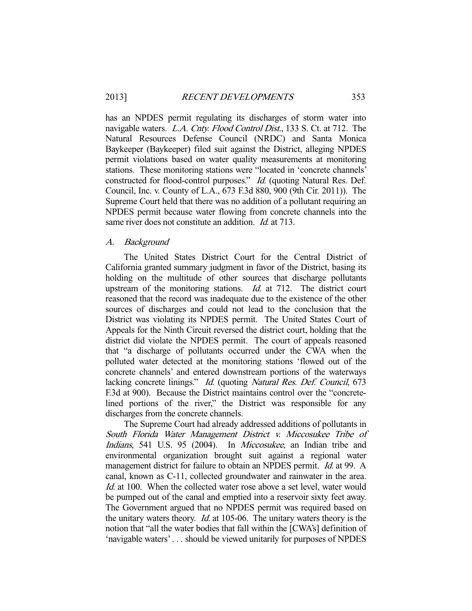has an NPDES permit regulating its discharges of storm water into navigable waters. L.A. Cnty. Flood Control Dist., 133 S. Ct. at 712. The Natural Resources Defense Council (NRDC) and Santa Monica Baykeeper (Baykeeper) filed suit against the District, alleging NPDES permit violations based on water quality measurements at monitoring stations. These monitoring stations were "located in 'concrete channels' constructed for flood-control purposes." Id. (quoting Natural Res. Def. Council, Inc. v. County of L.A., 673 F.3d 880, 900 (9th Cir. 2011)). The Supreme Court held that there was no addition of a pollutant requiring an NPDES permit because water flowing from concrete channels into the same river does not constitute an addition. *Id.* at 713.

#### A. Background

 The United States District Court for the Central District of California granted summary judgment in favor of the District, basing its holding on the multitude of other sources that discharge pollutants upstream of the monitoring stations. Id. at 712. The district court reasoned that the record was inadequate due to the existence of the other sources of discharges and could not lead to the conclusion that the District was violating its NPDES permit. The United States Court of Appeals for the Ninth Circuit reversed the district court, holding that the district did violate the NPDES permit. The court of appeals reasoned that "a discharge of pollutants occurred under the CWA when the polluted water detected at the monitoring stations 'flowed out of the concrete channels' and entered downstream portions of the waterways lacking concrete linings." Id. (quoting Natural Res. Def. Council, 673 F.3d at 900). Because the District maintains control over the "concretelined portions of the river," the District was responsible for any discharges from the concrete channels.

 The Supreme Court had already addressed additions of pollutants in South Florida Water Management District v. Miccosukee Tribe of Indians, 541 U.S. 95 (2004). In Miccosukee, an Indian tribe and environmental organization brought suit against a regional water management district for failure to obtain an NPDES permit. *Id.* at 99. A canal, known as C-11, collected groundwater and rainwater in the area. Id. at 100. When the collected water rose above a set level, water would be pumped out of the canal and emptied into a reservoir sixty feet away. The Government argued that no NPDES permit was required based on the unitary waters theory. Id. at 105-06. The unitary waters theory is the notion that "all the water bodies that fall within the [CWA's] definition of 'navigable waters' . . . should be viewed unitarily for purposes of NPDES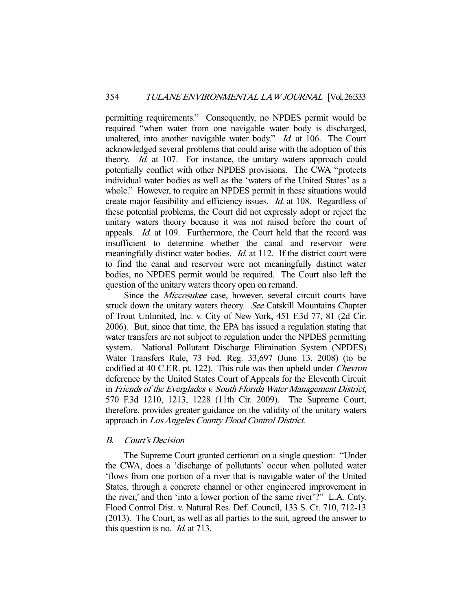permitting requirements." Consequently, no NPDES permit would be required "when water from one navigable water body is discharged, unaltered, into another navigable water body." *Id.* at 106. The Court acknowledged several problems that could arise with the adoption of this theory. *Id.* at 107. For instance, the unitary waters approach could potentially conflict with other NPDES provisions. The CWA "protects individual water bodies as well as the 'waters of the United States' as a whole." However, to require an NPDES permit in these situations would create major feasibility and efficiency issues. Id. at 108. Regardless of these potential problems, the Court did not expressly adopt or reject the unitary waters theory because it was not raised before the court of appeals. Id. at 109. Furthermore, the Court held that the record was insufficient to determine whether the canal and reservoir were meaningfully distinct water bodies. *Id.* at 112. If the district court were to find the canal and reservoir were not meaningfully distinct water bodies, no NPDES permit would be required. The Court also left the question of the unitary waters theory open on remand.

Since the *Miccosukee* case, however, several circuit courts have struck down the unitary waters theory. See Catskill Mountains Chapter of Trout Unlimited, Inc. v. City of New York, 451 F.3d 77, 81 (2d Cir. 2006). But, since that time, the EPA has issued a regulation stating that water transfers are not subject to regulation under the NPDES permitting system. National Pollutant Discharge Elimination System (NPDES) Water Transfers Rule, 73 Fed. Reg. 33,697 (June 13, 2008) (to be codified at 40 C.F.R. pt. 122). This rule was then upheld under Chevron deference by the United States Court of Appeals for the Eleventh Circuit in Friends of the Everglades v. South Florida Water Management District, 570 F.3d 1210, 1213, 1228 (11th Cir. 2009). The Supreme Court, therefore, provides greater guidance on the validity of the unitary waters approach in Los Angeles County Flood Control District.

## B. Court's Decision

 The Supreme Court granted certiorari on a single question: "Under the CWA, does a 'discharge of pollutants' occur when polluted water 'flows from one portion of a river that is navigable water of the United States, through a concrete channel or other engineered improvement in the river,' and then 'into a lower portion of the same river'?" L.A. Cnty. Flood Control Dist. v. Natural Res. Def. Council, 133 S. Ct. 710, 712-13 (2013). The Court, as well as all parties to the suit, agreed the answer to this question is no. Id. at 713.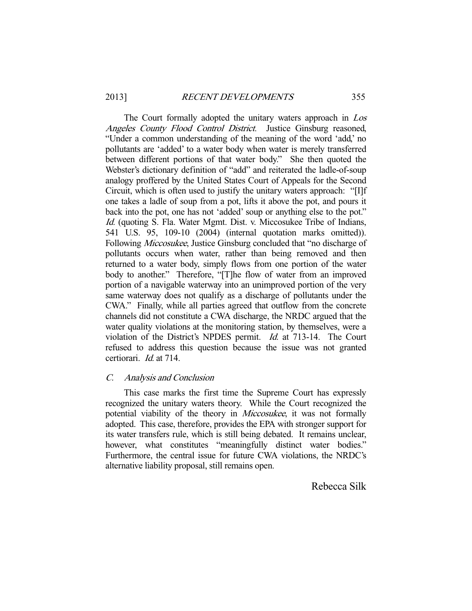The Court formally adopted the unitary waters approach in Los Angeles County Flood Control District. Justice Ginsburg reasoned, "Under a common understanding of the meaning of the word 'add,' no pollutants are 'added' to a water body when water is merely transferred between different portions of that water body." She then quoted the Webster's dictionary definition of "add" and reiterated the ladle-of-soup analogy proffered by the United States Court of Appeals for the Second Circuit, which is often used to justify the unitary waters approach: "[I]f one takes a ladle of soup from a pot, lifts it above the pot, and pours it back into the pot, one has not 'added' soup or anything else to the pot." Id. (quoting S. Fla. Water Mgmt. Dist. v. Miccosukee Tribe of Indians, 541 U.S. 95, 109-10 (2004) (internal quotation marks omitted)). Following *Miccosukee*, Justice Ginsburg concluded that "no discharge of pollutants occurs when water, rather than being removed and then returned to a water body, simply flows from one portion of the water body to another." Therefore, "[T]he flow of water from an improved portion of a navigable waterway into an unimproved portion of the very same waterway does not qualify as a discharge of pollutants under the CWA." Finally, while all parties agreed that outflow from the concrete channels did not constitute a CWA discharge, the NRDC argued that the water quality violations at the monitoring station, by themselves, were a violation of the District's NPDES permit. Id. at 713-14. The Court refused to address this question because the issue was not granted certiorari. Id. at 714.

# C. Analysis and Conclusion

 This case marks the first time the Supreme Court has expressly recognized the unitary waters theory. While the Court recognized the potential viability of the theory in *Miccosukee*, it was not formally adopted. This case, therefore, provides the EPA with stronger support for its water transfers rule, which is still being debated. It remains unclear, however, what constitutes "meaningfully distinct water bodies." Furthermore, the central issue for future CWA violations, the NRDC's alternative liability proposal, still remains open.

Rebecca Silk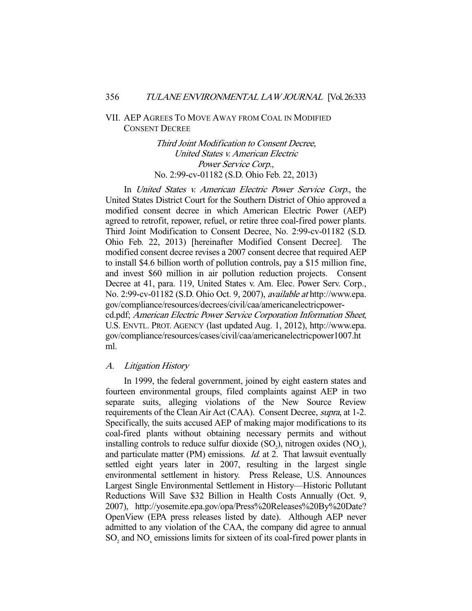# VII. AEP AGREES TO MOVE AWAY FROM COAL IN MODIFIED CONSENT DECREE

Third Joint Modification to Consent Decree, United States v. American Electric Power Service Corp., No. 2:99-cv-01182 (S.D. Ohio Feb. 22, 2013)

 In United States v. American Electric Power Service Corp., the United States District Court for the Southern District of Ohio approved a modified consent decree in which American Electric Power (AEP) agreed to retrofit, repower, refuel, or retire three coal-fired power plants. Third Joint Modification to Consent Decree, No. 2:99-cv-01182 (S.D. Ohio Feb. 22, 2013) [hereinafter Modified Consent Decree]. The modified consent decree revises a 2007 consent decree that required AEP to install \$4.6 billion worth of pollution controls, pay a \$15 million fine, and invest \$60 million in air pollution reduction projects. Consent Decree at 41, para. 119, United States v. Am. Elec. Power Serv. Corp., No. 2:99-cv-01182 (S.D. Ohio Oct. 9, 2007), available at http://www.epa. gov/compliance/resources/decrees/civil/caa/americanelectricpowercd.pdf; American Electric Power Service Corporation Information Sheet, U.S. ENVTL. PROT. AGENCY (last updated Aug. 1, 2012), http://www.epa. gov/compliance/resources/cases/civil/caa/americanelectricpower1007.ht ml.

## A. Litigation History

 In 1999, the federal government, joined by eight eastern states and fourteen environmental groups, filed complaints against AEP in two separate suits, alleging violations of the New Source Review requirements of the Clean Air Act (CAA). Consent Decree, supra, at 1-2. Specifically, the suits accused AEP of making major modifications to its coal-fired plants without obtaining necessary permits and without installing controls to reduce sulfur dioxide  $(SO_2)$ , nitrogen oxides  $(NO_x)$ , and particulate matter (PM) emissions. *Id.* at 2. That lawsuit eventually settled eight years later in 2007, resulting in the largest single environmental settlement in history. Press Release, U.S. Announces Largest Single Environmental Settlement in History—Historic Pollutant Reductions Will Save \$32 Billion in Health Costs Annually (Oct. 9, 2007), http://yosemite.epa.gov/opa/Press%20Releases%20By%20Date? OpenView (EPA press releases listed by date). Although AEP never admitted to any violation of the CAA, the company did agree to annual  $SO<sub>2</sub>$  and  $NO<sub>x</sub>$  emissions limits for sixteen of its coal-fired power plants in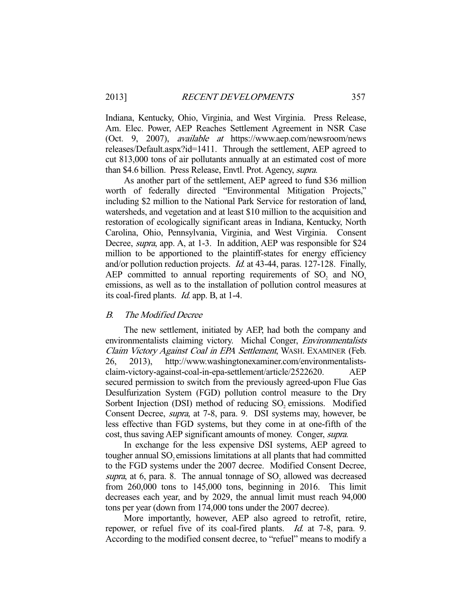Indiana, Kentucky, Ohio, Virginia, and West Virginia. Press Release, Am. Elec. Power, AEP Reaches Settlement Agreement in NSR Case (Oct. 9, 2007), available at https://www.aep.com/newsroom/news releases/Default.aspx?id=1411. Through the settlement, AEP agreed to cut 813,000 tons of air pollutants annually at an estimated cost of more than \$4.6 billion. Press Release, Envtl. Prot. Agency, supra.

 As another part of the settlement, AEP agreed to fund \$36 million worth of federally directed "Environmental Mitigation Projects," including \$2 million to the National Park Service for restoration of land, watersheds, and vegetation and at least \$10 million to the acquisition and restoration of ecologically significant areas in Indiana, Kentucky, North Carolina, Ohio, Pennsylvania, Virginia, and West Virginia. Consent Decree, supra, app. A, at 1-3. In addition, AEP was responsible for \$24 million to be apportioned to the plaintiff-states for energy efficiency and/or pollution reduction projects. Id. at 43-44, paras. 127-128. Finally, AEP committed to annual reporting requirements of  $SO_2$  and  $NO_x$ emissions, as well as to the installation of pollution control measures at its coal-fired plants. Id. app. B, at 1-4.

#### B. The Modified Decree

 The new settlement, initiated by AEP, had both the company and environmentalists claiming victory. Michal Conger, *Environmentalists* Claim Victory Against Coal in EPA Settlement, WASH. EXAMINER (Feb. 26, 2013), http://www.washingtonexaminer.com/environmentalistsclaim-victory-against-coal-in-epa-settlement/article/2522620. AEP secured permission to switch from the previously agreed-upon Flue Gas Desulfurization System (FGD) pollution control measure to the Dry Sorbent Injection (DSI) method of reducing SO<sub>2</sub> emissions. Modified Consent Decree, supra, at 7-8, para. 9. DSI systems may, however, be less effective than FGD systems, but they come in at one-fifth of the cost, thus saving AEP significant amounts of money. Conger, supra.

 In exchange for the less expensive DSI systems, AEP agreed to tougher annual SO<sub>2</sub> emissions limitations at all plants that had committed to the FGD systems under the 2007 decree. Modified Consent Decree, supra, at 6, para. 8. The annual tonnage of  $SO_2$  allowed was decreased from 260,000 tons to 145,000 tons, beginning in 2016. This limit decreases each year, and by 2029, the annual limit must reach 94,000 tons per year (down from 174,000 tons under the 2007 decree).

 More importantly, however, AEP also agreed to retrofit, retire, repower, or refuel five of its coal-fired plants. *Id.* at 7-8, para. 9. According to the modified consent decree, to "refuel" means to modify a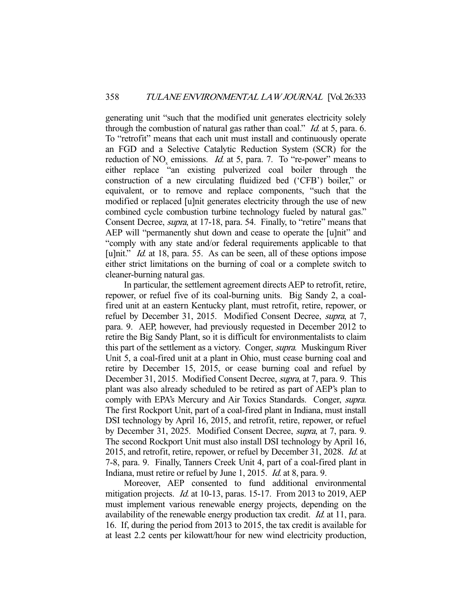generating unit "such that the modified unit generates electricity solely through the combustion of natural gas rather than coal." Id. at 5, para. 6. To "retrofit" means that each unit must install and continuously operate an FGD and a Selective Catalytic Reduction System (SCR) for the reduction of  $NO_x$  emissions. *Id.* at 5, para. 7. To "re-power" means to either replace "an existing pulverized coal boiler through the construction of a new circulating fluidized bed ('CFB') boiler," or equivalent, or to remove and replace components, "such that the modified or replaced [u]nit generates electricity through the use of new combined cycle combustion turbine technology fueled by natural gas." Consent Decree, supra, at 17-18, para. 54. Finally, to "retire" means that AEP will "permanently shut down and cease to operate the [u]nit" and "comply with any state and/or federal requirements applicable to that [u]nit." *Id.* at 18, para. 55. As can be seen, all of these options impose either strict limitations on the burning of coal or a complete switch to cleaner-burning natural gas.

 In particular, the settlement agreement directs AEP to retrofit, retire, repower, or refuel five of its coal-burning units. Big Sandy 2, a coalfired unit at an eastern Kentucky plant, must retrofit, retire, repower, or refuel by December 31, 2015. Modified Consent Decree, supra, at 7, para. 9. AEP, however, had previously requested in December 2012 to retire the Big Sandy Plant, so it is difficult for environmentalists to claim this part of the settlement as a victory. Conger, supra. Muskingum River Unit 5, a coal-fired unit at a plant in Ohio, must cease burning coal and retire by December 15, 2015, or cease burning coal and refuel by December 31, 2015. Modified Consent Decree, *supra*, at 7, para. 9. This plant was also already scheduled to be retired as part of AEP's plan to comply with EPA's Mercury and Air Toxics Standards. Conger, *supra*. The first Rockport Unit, part of a coal-fired plant in Indiana, must install DSI technology by April 16, 2015, and retrofit, retire, repower, or refuel by December 31, 2025. Modified Consent Decree, supra, at 7, para. 9. The second Rockport Unit must also install DSI technology by April 16, 2015, and retrofit, retire, repower, or refuel by December 31, 2028. Id. at 7-8, para. 9. Finally, Tanners Creek Unit 4, part of a coal-fired plant in Indiana, must retire or refuel by June 1, 2015. Id. at 8, para. 9.

 Moreover, AEP consented to fund additional environmental mitigation projects. *Id.* at 10-13, paras. 15-17. From 2013 to 2019, AEP must implement various renewable energy projects, depending on the availability of the renewable energy production tax credit. *Id.* at 11, para. 16. If, during the period from 2013 to 2015, the tax credit is available for at least 2.2 cents per kilowatt/hour for new wind electricity production,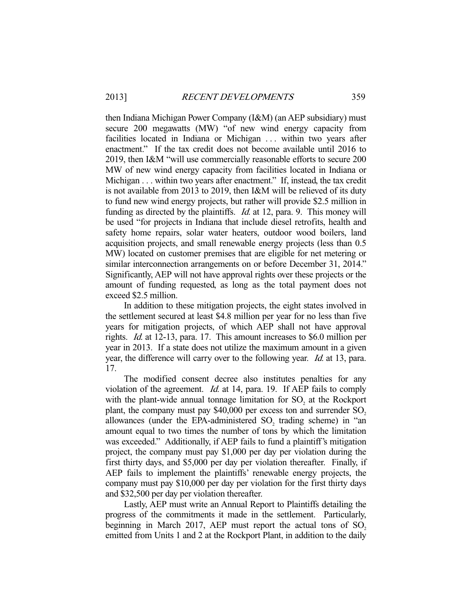then Indiana Michigan Power Company (I&M) (an AEP subsidiary) must secure 200 megawatts (MW) "of new wind energy capacity from facilities located in Indiana or Michigan ... within two years after enactment." If the tax credit does not become available until 2016 to 2019, then I&M "will use commercially reasonable efforts to secure 200 MW of new wind energy capacity from facilities located in Indiana or Michigan . . . within two years after enactment." If, instead, the tax credit is not available from 2013 to 2019, then I&M will be relieved of its duty to fund new wind energy projects, but rather will provide \$2.5 million in funding as directed by the plaintiffs. *Id.* at 12, para. 9. This money will be used "for projects in Indiana that include diesel retrofits, health and safety home repairs, solar water heaters, outdoor wood boilers, land acquisition projects, and small renewable energy projects (less than 0.5 MW) located on customer premises that are eligible for net metering or similar interconnection arrangements on or before December 31, 2014." Significantly, AEP will not have approval rights over these projects or the amount of funding requested, as long as the total payment does not exceed \$2.5 million.

 In addition to these mitigation projects, the eight states involved in the settlement secured at least \$4.8 million per year for no less than five years for mitigation projects, of which AEP shall not have approval rights. Id. at 12-13, para. 17. This amount increases to \$6.0 million per year in 2013. If a state does not utilize the maximum amount in a given year, the difference will carry over to the following year. *Id.* at 13, para. 17.

 The modified consent decree also institutes penalties for any violation of the agreement. Id. at 14, para. 19. If AEP fails to comply with the plant-wide annual tonnage limitation for  $SO_2$  at the Rockport plant, the company must pay  $$40,000$  per excess ton and surrender SO<sub>2</sub> allowances (under the EPA-administered  $SO_2$  trading scheme) in "an amount equal to two times the number of tons by which the limitation was exceeded." Additionally, if AEP fails to fund a plaintiff's mitigation project, the company must pay \$1,000 per day per violation during the first thirty days, and \$5,000 per day per violation thereafter. Finally, if AEP fails to implement the plaintiffs' renewable energy projects, the company must pay \$10,000 per day per violation for the first thirty days and \$32,500 per day per violation thereafter.

 Lastly, AEP must write an Annual Report to Plaintiffs detailing the progress of the commitments it made in the settlement. Particularly, beginning in March 2017, AEP must report the actual tons of  $SO<sub>2</sub>$ emitted from Units 1 and 2 at the Rockport Plant, in addition to the daily